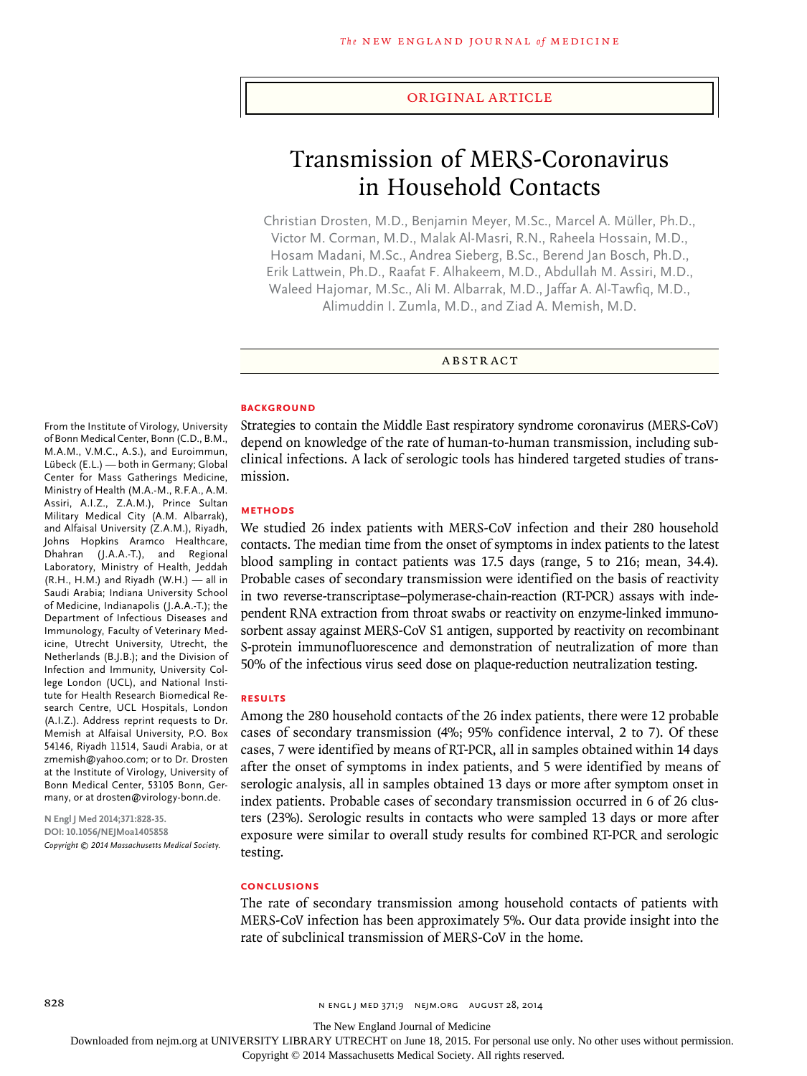#### original article

# Transmission of MERS-Coronavirus in Household Contacts

Christian Drosten, M.D., Benjamin Meyer, M.Sc., Marcel A. Müller, Ph.D., Victor M. Corman, M.D., Malak Al-Masri, R.N., Raheela Hossain, M.D., Hosam Madani, M.Sc., Andrea Sieberg, B.Sc., Berend Jan Bosch, Ph.D., Erik Lattwein, Ph.D., Raafat F. Alhakeem, M.D., Abdullah M. Assiri, M.D., Waleed Hajomar, M.Sc., Ali M. Albarrak, M.D., Jaffar A. Al-Tawfiq, M.D., Alimuddin I. Zumla, M.D., and Ziad A. Memish, M.D.

**ARSTRACT** 

#### **BACKGROUND**

Strategies to contain the Middle East respiratory syndrome coronavirus (MERS-CoV) depend on knowledge of the rate of human-to-human transmission, including subclinical infections. A lack of serologic tools has hindered targeted studies of transmission.

#### **Methods**

We studied 26 index patients with MERS-CoV infection and their 280 household contacts. The median time from the onset of symptoms in index patients to the latest blood sampling in contact patients was 17.5 days (range, 5 to 216; mean, 34.4). Probable cases of secondary transmission were identified on the basis of reactivity in two reverse-transcriptase–polymerase-chain-reaction (RT-PCR) assays with independent RNA extraction from throat swabs or reactivity on enzyme-linked immunosorbent assay against MERS-CoV S1 antigen, supported by reactivity on recombinant S-protein immunofluorescence and demonstration of neutralization of more than 50% of the infectious virus seed dose on plaque-reduction neutralization testing.

## **Results**

Among the 280 household contacts of the 26 index patients, there were 12 probable cases of secondary transmission (4%; 95% confidence interval, 2 to 7). Of these cases, 7 were identified by means of RT-PCR, all in samples obtained within 14 days after the onset of symptoms in index patients, and 5 were identified by means of serologic analysis, all in samples obtained 13 days or more after symptom onset in index patients. Probable cases of secondary transmission occurred in 6 of 26 clusters (23%). Serologic results in contacts who were sampled 13 days or more after exposure were similar to overall study results for combined RT-PCR and serologic testing.

#### **Conclusions**

The rate of secondary transmission among household contacts of patients with MERS-CoV infection has been approximately 5%. Our data provide insight into the rate of subclinical transmission of MERS-CoV in the home.

From the Institute of Virology, University of Bonn Medical Center, Bonn (C.D., B.M., M.A.M., V.M.C., A.S.), and Euroimmun, Lübeck (E.L.) — both in Germany; Global Center for Mass Gatherings Medicine, Ministry of Health (M.A.-M., R.F.A., A.M. Assiri, A.I.Z., Z.A.M.), Prince Sultan Military Medical City (A.M. Albarrak), and Alfaisal University (Z.A.M.), Riyadh, Johns Hopkins Aramco Healthcare, Dhahran (J.A.A.-T.), and Regional Laboratory, Ministry of Health, Jeddah (R.H., H.M.) and Riyadh (W.H.) — all in Saudi Arabia; Indiana University School of Medicine, Indianapolis (J.A.A.-T.); the Department of Infectious Diseases and Immunology, Faculty of Veterinary Medicine, Utrecht University, Utrecht, the Netherlands (B.J.B.); and the Division of Infection and Immunity, University College London (UCL), and National Institute for Health Research Biomedical Research Centre, UCL Hospitals, London (A.I.Z.). Address reprint requests to Dr. Memish at Alfaisal University, P.O. Box 54146, Riyadh 11514, Saudi Arabia, or at zmemish@yahoo.com; or to Dr. Drosten at the Institute of Virology, University of Bonn Medical Center, 53105 Bonn, Germany, or at drosten@virology-bonn.de.

**N Engl J Med 2014;371:828-35. DOI: 10.1056/NEJMoa1405858** *Copyright © 2014 Massachusetts Medical Society.*

828 n engl j med 371;9 nejm.org august 28, 2014

The New England Journal of Medicine

Downloaded from nejm.org at UNIVERSITY LIBRARY UTRECHT on June 18, 2015. For personal use only. No other uses without permission.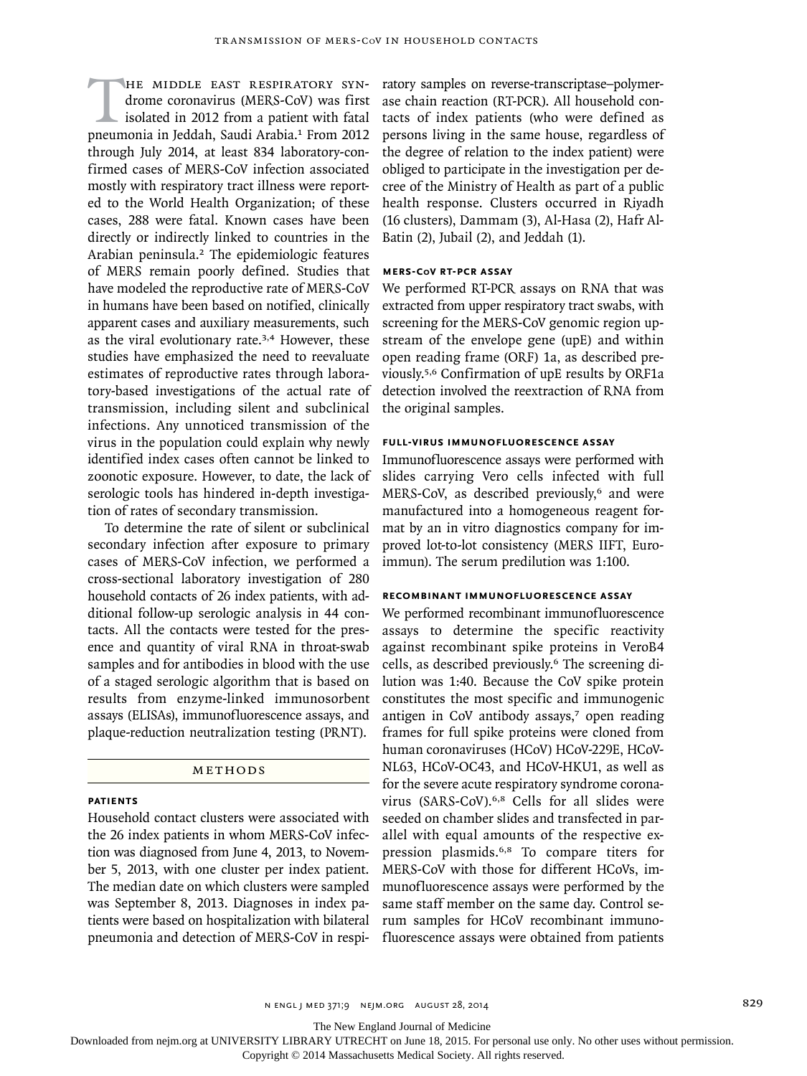HE MIDDLE EAST RESPIRATORY SYN-<br>drome coronavirus (MERS-CoV) was first<br>isolated in 2012 from a patient with fatal<br>pneumonia in Ieddah. Saudi Arabia.<sup>1</sup> From 2012 drome coronavirus (MERS-CoV) was first isolated in 2012 from a patient with fatal pneumonia in Jeddah, Saudi Arabia.<sup>1</sup> From 2012 through July 2014, at least 834 laboratory-confirmed cases of MERS-CoV infection associated mostly with respiratory tract illness were reported to the World Health Organization; of these cases, 288 were fatal. Known cases have been directly or indirectly linked to countries in the Arabian peninsula.2 The epidemiologic features of MERS remain poorly defined. Studies that have modeled the reproductive rate of MERS-CoV in humans have been based on notified, clinically apparent cases and auxiliary measurements, such as the viral evolutionary rate.<sup>3,4</sup> However, these studies have emphasized the need to reevaluate estimates of reproductive rates through laboratory-based investigations of the actual rate of transmission, including silent and subclinical infections. Any unnoticed transmission of the virus in the population could explain why newly identified index cases often cannot be linked to zoonotic exposure. However, to date, the lack of serologic tools has hindered in-depth investigation of rates of secondary transmission.

To determine the rate of silent or subclinical secondary infection after exposure to primary cases of MERS-CoV infection, we performed a cross-sectional laboratory investigation of 280 household contacts of 26 index patients, with additional follow-up serologic analysis in 44 contacts. All the contacts were tested for the presence and quantity of viral RNA in throat-swab samples and for antibodies in blood with the use of a staged serologic algorithm that is based on results from enzyme-linked immunosorbent assays (ELISAs), immunofluorescence assays, and plaque-reduction neutralization testing (PRNT).

# METHODS

# **Patients**

Household contact clusters were associated with the 26 index patients in whom MERS-CoV infection was diagnosed from June 4, 2013, to November 5, 2013, with one cluster per index patient. The median date on which clusters were sampled was September 8, 2013. Diagnoses in index patients were based on hospitalization with bilateral pneumonia and detection of MERS-CoV in respiratory samples on reverse-transcriptase–polymerase chain reaction (RT-PCR). All household contacts of index patients (who were defined as persons living in the same house, regardless of the degree of relation to the index patient) were obliged to participate in the investigation per decree of the Ministry of Health as part of a public health response. Clusters occurred in Riyadh (16 clusters), Dammam (3), Al-Hasa (2), Hafr Al-Batin (2), Jubail (2), and Jeddah (1).

# **MERS-CoV RT-PCR Assay**

We performed RT-PCR assays on RNA that was extracted from upper respiratory tract swabs, with screening for the MERS-CoV genomic region upstream of the envelope gene (upE) and within open reading frame (ORF) 1a, as described previously.5,6 Confirmation of upE results by ORF1a detection involved the reextraction of RNA from the original samples.

## **Full-Virus Immunofluorescence Assay**

Immunofluorescence assays were performed with slides carrying Vero cells infected with full MERS-CoV, as described previously,<sup>6</sup> and were manufactured into a homogeneous reagent format by an in vitro diagnostics company for improved lot-to-lot consistency (MERS IIFT, Euroimmun). The serum predilution was 1:100.

#### **Recombinant Immunofluorescence Assay**

We performed recombinant immunofluorescence assays to determine the specific reactivity against recombinant spike proteins in VeroB4 cells, as described previously.6 The screening dilution was 1:40. Because the CoV spike protein constitutes the most specific and immunogenic antigen in CoV antibody assays,<sup>7</sup> open reading frames for full spike proteins were cloned from human coronaviruses (HCoV) HCoV-229E, HCoV-NL63, HCoV-OC43, and HCoV-HKU1, as well as for the severe acute respiratory syndrome coronavirus (SARS-CoV).6,8 Cells for all slides were seeded on chamber slides and transfected in parallel with equal amounts of the respective expression plasmids.6,8 To compare titers for MERS-CoV with those for different HCoVs, immunofluorescence assays were performed by the same staff member on the same day. Control serum samples for HCoV recombinant immunofluorescence assays were obtained from patients

n engl j med 371;9 nejm.org august 28, 2014 829

The New England Journal of Medicine

Downloaded from nejm.org at UNIVERSITY LIBRARY UTRECHT on June 18, 2015. For personal use only. No other uses without permission.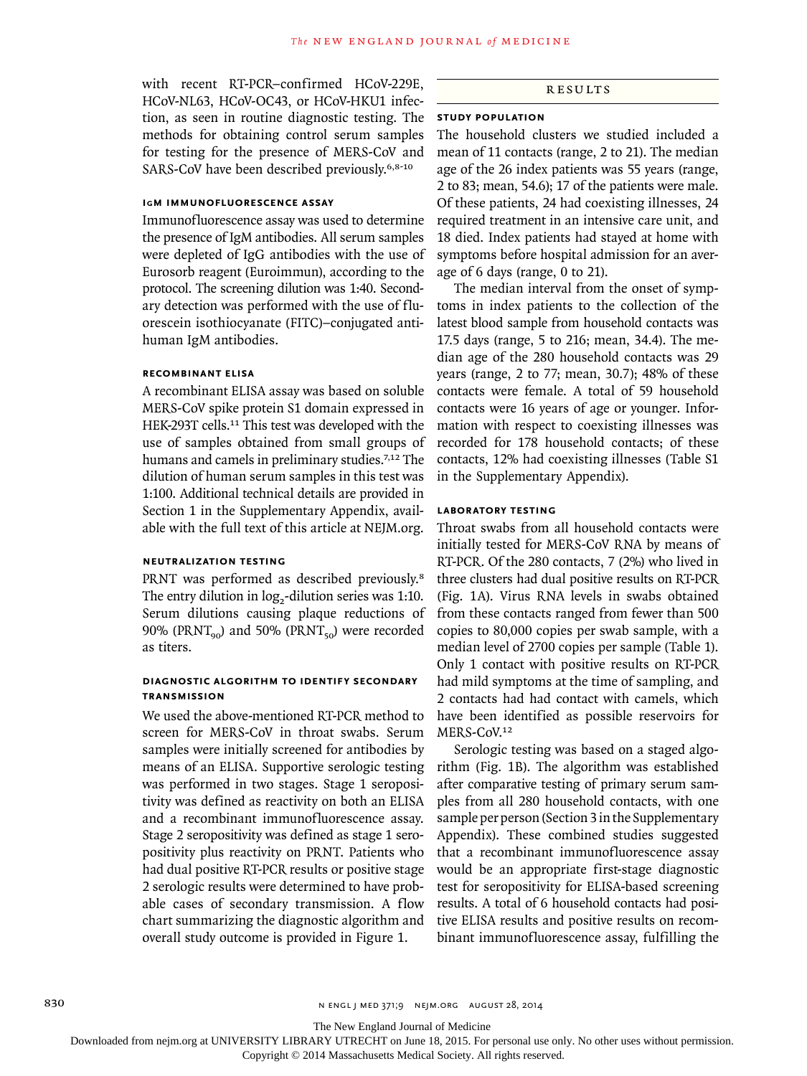with recent RT-PCR–confirmed HCoV-229E, HCoV-NL63, HCoV-OC43, or HCoV-HKU1 infection, as seen in routine diagnostic testing. The methods for obtaining control serum samples for testing for the presence of MERS-CoV and SARS-CoV have been described previously.<sup>6,8-10</sup>

# **IgM Immunofluorescence Assay**

Immunofluorescence assay was used to determine the presence of IgM antibodies. All serum samples were depleted of IgG antibodies with the use of Eurosorb reagent (Euroimmun), according to the protocol. The screening dilution was 1:40. Secondary detection was performed with the use of fluorescein isothiocyanate (FITC)–conjugated antihuman IgM antibodies.

## **Recombinant ELISA**

A recombinant ELISA assay was based on soluble MERS-CoV spike protein S1 domain expressed in HEK-293T cells.<sup>11</sup> This test was developed with the use of samples obtained from small groups of humans and camels in preliminary studies.<sup>7,12</sup> The dilution of human serum samples in this test was 1:100. Additional technical details are provided in Section 1 in the Supplementary Appendix, available with the full text of this article at NEJM.org.

# **Neutralization Testing**

PRNT was performed as described previously.<sup>8</sup> The entry dilution in  $log<sub>2</sub>$ -dilution series was 1:10. Serum dilutions causing plaque reductions of 90% (PRNT<sub>90</sub>) and 50% (PRNT<sub>50</sub>) were recorded as titers.

## **Diagnostic Algorithm to Identify Secondary Transmission**

We used the above-mentioned RT-PCR method to screen for MERS-CoV in throat swabs. Serum samples were initially screened for antibodies by means of an ELISA. Supportive serologic testing was performed in two stages. Stage 1 seropositivity was defined as reactivity on both an ELISA and a recombinant immunofluorescence assay. Stage 2 seropositivity was defined as stage 1 seropositivity plus reactivity on PRNT. Patients who had dual positive RT-PCR results or positive stage 2 serologic results were determined to have probable cases of secondary transmission. A flow chart summarizing the diagnostic algorithm and overall study outcome is provided in Figure 1.

# Results

## **Study Population**

The household clusters we studied included a mean of 11 contacts (range, 2 to 21). The median age of the 26 index patients was 55 years (range, 2 to 83; mean, 54.6); 17 of the patients were male. Of these patients, 24 had coexisting illnesses, 24 required treatment in an intensive care unit, and 18 died. Index patients had stayed at home with symptoms before hospital admission for an average of 6 days (range, 0 to 21).

The median interval from the onset of symptoms in index patients to the collection of the latest blood sample from household contacts was 17.5 days (range, 5 to 216; mean, 34.4). The median age of the 280 household contacts was 29 years (range, 2 to 77; mean, 30.7); 48% of these contacts were female. A total of 59 household contacts were 16 years of age or younger. Information with respect to coexisting illnesses was recorded for 178 household contacts; of these contacts, 12% had coexisting illnesses (Table S1 in the Supplementary Appendix).

#### **Laboratory Testing**

Throat swabs from all household contacts were initially tested for MERS-CoV RNA by means of RT-PCR. Of the 280 contacts, 7 (2%) who lived in three clusters had dual positive results on RT-PCR (Fig. 1A). Virus RNA levels in swabs obtained from these contacts ranged from fewer than 500 copies to 80,000 copies per swab sample, with a median level of 2700 copies per sample (Table 1). Only 1 contact with positive results on RT-PCR had mild symptoms at the time of sampling, and 2 contacts had had contact with camels, which have been identified as possible reservoirs for MERS-CoV.12

Serologic testing was based on a staged algorithm (Fig. 1B). The algorithm was established after comparative testing of primary serum samples from all 280 household contacts, with one sample per person (Section 3 in the Supplementary Appendix). These combined studies suggested that a recombinant immunofluorescence assay would be an appropriate first-stage diagnostic test for seropositivity for ELISA-based screening results. A total of 6 household contacts had positive ELISA results and positive results on recombinant immunofluorescence assay, fulfilling the

The New England Journal of Medicine

Downloaded from nejm.org at UNIVERSITY LIBRARY UTRECHT on June 18, 2015. For personal use only. No other uses without permission.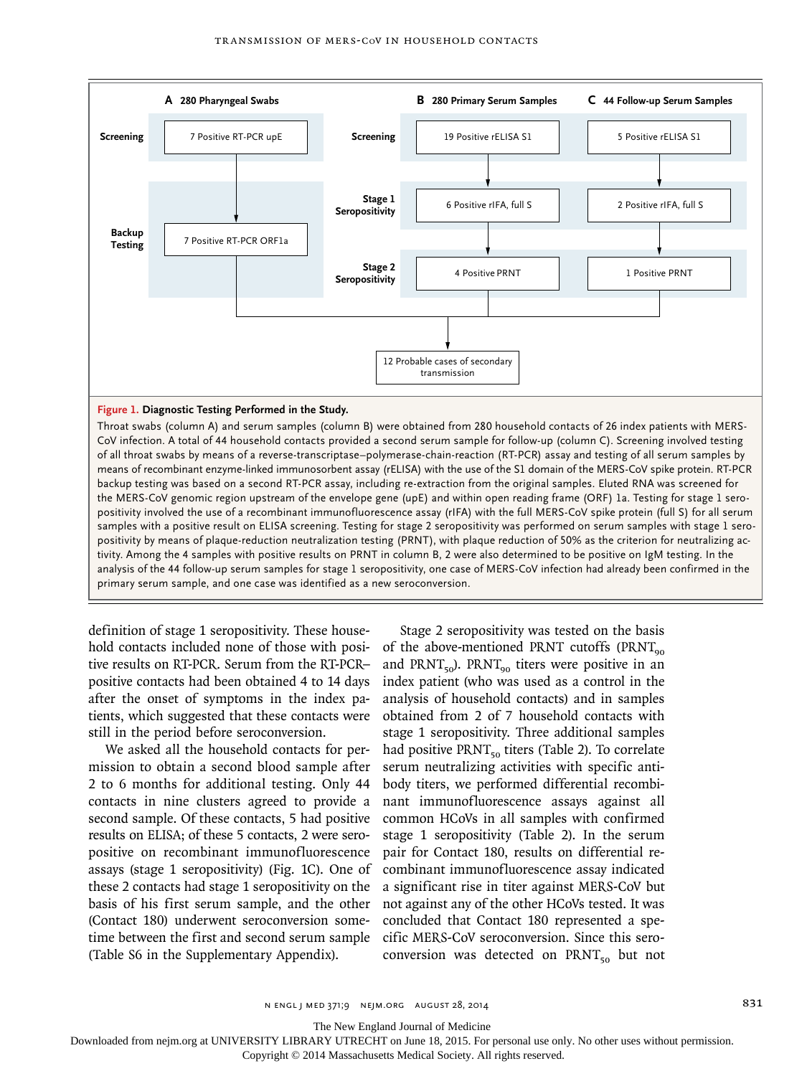

## **Figure 1. Diagnostic Testing Performed in the Study.**

Throat swabs (column A) and serum samples (column B) were obtained from 280 household contacts of 26 index patients with MERS-CoV infection. A total of 44 household contacts provided a second serum sample for follow-up (column C). Screening involved testing of all throat swabs by means of a reverse-transcriptase–polymerase-chain-reaction (RT-PCR) assay and testing of all serum samples by means of recombinant enzyme-linked immunosorbent assay (rELISA) with the use of the S1 domain of the MERS-CoV spike protein. RT-PCR backup testing was based on a second RT-PCR assay, including re-extraction from the original samples. Eluted RNA was screened for the MERS-CoV genomic region upstream of the envelope gene (upE) and within open reading frame (ORF) 1a. Testing for stage 1 seropositivity involved the use of a recombinant immunofluorescence assay (rIFA) with the full MERS-CoV spike protein (full S) for all serum samples with a positive result on ELISA screening. Testing for stage 2 seropositivity was performed on serum samples with stage 1 seropositivity by means of plaque-reduction neutralization testing (PRNT), with plaque reduction of 50% as the criterion for neutralizing activity. Among the 4 samples with positive results on PRNT in column B, 2 were also determined to be positive on IgM testing. In the analysis of the 44 follow-up serum samples for stage 1 seropositivity, one case of MERS-CoV infection had already been confirmed in the primary serum sample, and one case was identified as a new seroconversion.

definition of stage 1 seropositivity. These household contacts included none of those with positive results on RT-PCR. Serum from the RT-PCR– positive contacts had been obtained 4 to 14 days after the onset of symptoms in the index patients, which suggested that these contacts were still in the period before seroconversion.

We asked all the household contacts for permission to obtain a second blood sample after 2 to 6 months for additional testing. Only 44 contacts in nine clusters agreed to provide a second sample. Of these contacts, 5 had positive results on ELISA; of these 5 contacts, 2 were seropositive on recombinant immunofluorescence assays (stage 1 seropositivity) (Fig. 1C). One of these 2 contacts had stage 1 seropositivity on the basis of his first serum sample, and the other (Contact 180) underwent seroconversion sometime between the first and second serum sample (Table S6 in the Supplementary Appendix).

Stage 2 seropositivity was tested on the basis of the above-mentioned PRNT cutoffs (PRNT $_{90}$ and PRNT<sub>50</sub>). PRNT<sub>90</sub> titers were positive in an index patient (who was used as a control in the analysis of household contacts) and in samples obtained from 2 of 7 household contacts with stage 1 seropositivity. Three additional samples had positive  $PRT_{50}$  titers (Table 2). To correlate serum neutralizing activities with specific antibody titers, we performed differential recombinant immunofluorescence assays against all common HCoVs in all samples with confirmed stage 1 seropositivity (Table 2). In the serum pair for Contact 180, results on differential recombinant immunofluorescence assay indicated a significant rise in titer against MERS-CoV but not against any of the other HCoVs tested. It was concluded that Contact 180 represented a specific MERS-CoV seroconversion. Since this seroconversion was detected on  $\text{PRNT}_{50}$  but not

The New England Journal of Medicine

Downloaded from nejm.org at UNIVERSITY LIBRARY UTRECHT on June 18, 2015. For personal use only. No other uses without permission.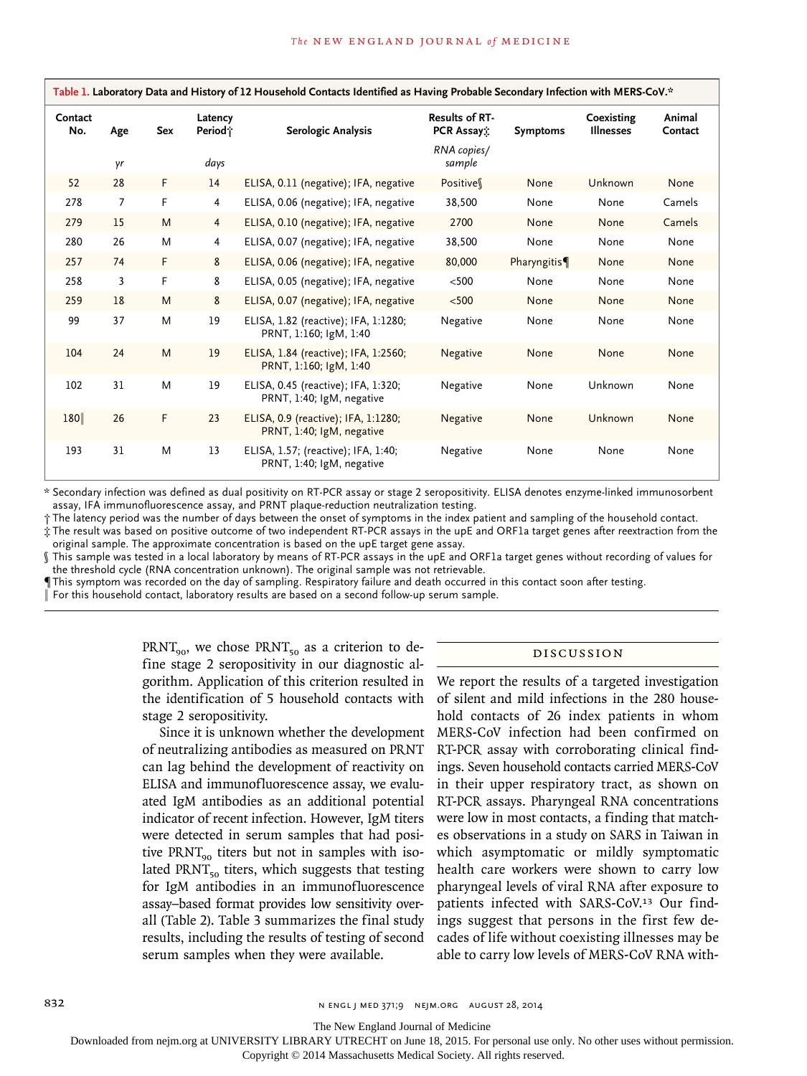| Table 1. Laboratory Data and History of 12 Household Contacts Identified as Having Probable Secondary Infection with MERS-CoV.* |                |     |                                |                                                                  |                                     |                 |                                |                   |  |  |
|---------------------------------------------------------------------------------------------------------------------------------|----------------|-----|--------------------------------|------------------------------------------------------------------|-------------------------------------|-----------------|--------------------------------|-------------------|--|--|
| Contact<br>No.                                                                                                                  | Age            | Sex | Latency<br>Period <sub>i</sub> | Serologic Analysis                                               | <b>Results of RT-</b><br>PCR Assay: | <b>Symptoms</b> | Coexisting<br><b>Illnesses</b> | Animal<br>Contact |  |  |
|                                                                                                                                 | γr             |     | days                           |                                                                  | RNA copies/<br>sample               |                 |                                |                   |  |  |
| 52                                                                                                                              | 28             | F   | 14                             | ELISA, 0.11 (negative); IFA, negative                            | Positive                            | None            | Unknown                        | None              |  |  |
| 278                                                                                                                             | $\overline{7}$ | F   | $\overline{4}$                 | ELISA, 0.06 (negative); IFA, negative                            | 38,500                              | None            | None                           | Camels            |  |  |
| 279                                                                                                                             | 15             | M   | $\overline{4}$                 | ELISA, 0.10 (negative); IFA, negative                            | 2700                                | None            | None                           | Camels            |  |  |
| 280                                                                                                                             | 26             | M   | 4                              | ELISA, 0.07 (negative); IFA, negative                            | 38,500                              | None            | None                           | None              |  |  |
| 257                                                                                                                             | 74             | F   | 8                              | ELISA, 0.06 (negative); IFA, negative                            | 80,000                              | Pharyngitis     | None                           | None              |  |  |
| 258                                                                                                                             | 3              | F   | 8                              | ELISA, 0.05 (negative); IFA, negative                            | < 500                               | None            | None                           | None              |  |  |
| 259                                                                                                                             | 18             | M   | 8                              | ELISA, 0.07 (negative); IFA, negative                            | $< 500$                             | None            | None                           | None              |  |  |
| 99                                                                                                                              | 37             | M   | 19                             | ELISA, 1.82 (reactive); IFA, 1:1280;<br>PRNT, 1:160; IgM, 1:40   | Negative                            | None            | None                           | None              |  |  |
| 104                                                                                                                             | 24             | M   | 19                             | ELISA, 1.84 (reactive); IFA, 1:2560;<br>PRNT, 1:160; IgM, 1:40   | Negative                            | None            | None                           | None              |  |  |
| 102                                                                                                                             | 31             | M   | 19                             | ELISA, 0.45 (reactive); IFA, 1:320;<br>PRNT, 1:40; IgM, negative | Negative                            | None            | Unknown                        | None              |  |  |
| 180                                                                                                                             | 26             | F   | 23                             | ELISA, 0.9 (reactive); IFA, 1:1280;<br>PRNT, 1:40; IgM, negative | Negative                            | None            | Unknown                        | None              |  |  |
| 193                                                                                                                             | 31             | M   | 13                             | ELISA, 1.57; (reactive); IFA, 1:40;<br>PRNT, 1:40; IgM, negative | Negative                            | None            | None                           | None              |  |  |

\* Secondary infection was defined as dual positivity on RT-PCR assay or stage 2 seropositivity. ELISA denotes enzyme-linked immunosorbent assay, IFA immunofluorescence assay, and PRNT plaque-reduction neutralization testing.

† The latency period was the number of days between the onset of symptoms in the index patient and sampling of the household contact.

‡ The result was based on positive outcome of two independent RT-PCR assays in the upE and ORF1a target genes after reextraction from the original sample. The approximate concentration is based on the upE target gene assay.

§ This sample was tested in a local laboratory by means of RT-PCR assays in the upE and ORF1a target genes without recording of values for the threshold cycle (RNA concentration unknown). The original sample was not retrievable.

¶This symptom was recorded on the day of sampling. Respiratory failure and death occurred in this contact soon after testing.

For this household contact, laboratory results are based on a second follow-up serum sample.

 $PRT_{90}$ , we chose  $PRNT_{50}$  as a criterion to define stage 2 seropositivity in our diagnostic algorithm. Application of this criterion resulted in the identification of 5 household contacts with stage 2 seropositivity.

Since it is unknown whether the development of neutralizing antibodies as measured on PRNT can lag behind the development of reactivity on ELISA and immunofluorescence assay, we evaluated IgM antibodies as an additional potential indicator of recent infection. However, IgM titers were detected in serum samples that had positive  $\text{PRNT}_{\text{90}}$  titers but not in samples with isolated PRNT $_{50}$  titers, which suggests that testing for IgM antibodies in an immunofluorescence assay–based format provides low sensitivity overall (Table 2). Table 3 summarizes the final study results, including the results of testing of second serum samples when they were available.

#### Discussion

We report the results of a targeted investigation of silent and mild infections in the 280 household contacts of 26 index patients in whom MERS-CoV infection had been confirmed on RT-PCR assay with corroborating clinical findings. Seven household contacts carried MERS-CoV in their upper respiratory tract, as shown on RT-PCR assays. Pharyngeal RNA concentrations were low in most contacts, a finding that matches observations in a study on SARS in Taiwan in which asymptomatic or mildly symptomatic health care workers were shown to carry low pharyngeal levels of viral RNA after exposure to patients infected with SARS-CoV.13 Our findings suggest that persons in the first few decades of life without coexisting illnesses may be able to carry low levels of MERS-CoV RNA with-

The New England Journal of Medicine

Downloaded from nejm.org at UNIVERSITY LIBRARY UTRECHT on June 18, 2015. For personal use only. No other uses without permission.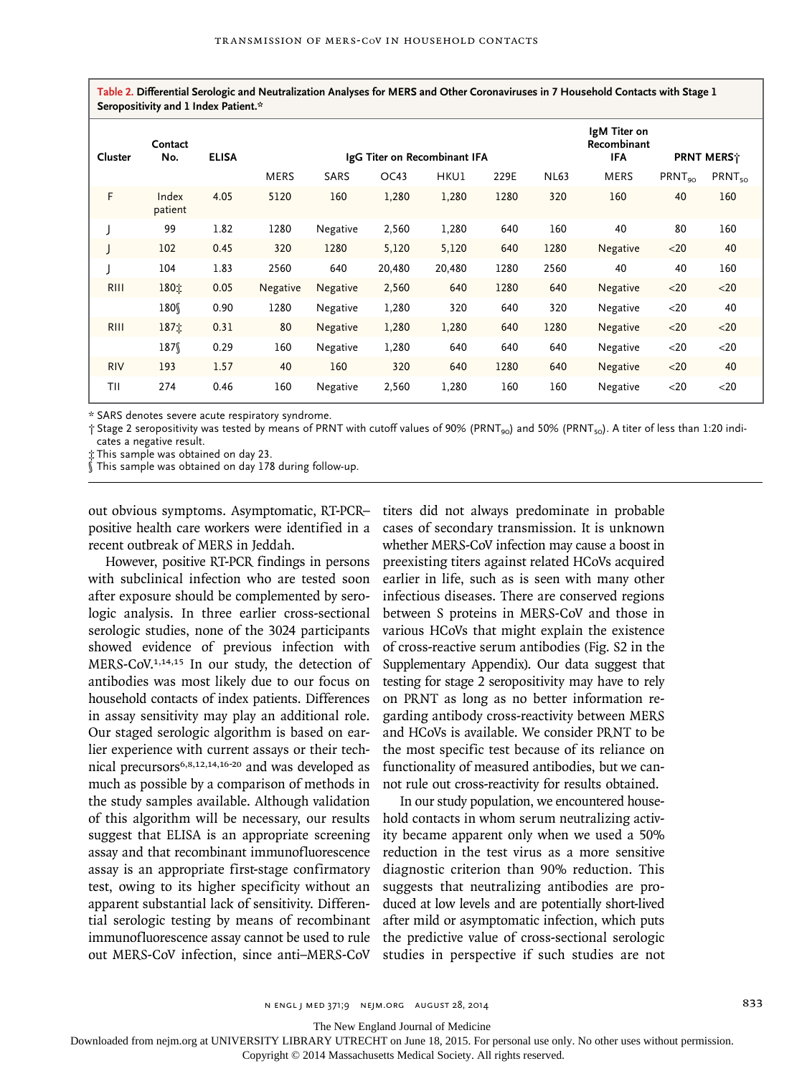**Table 2. Differential Serologic and Neutralization Analyses for MERS and Other Coronaviruses in 7 Household Contacts with Stage 1 Seropositivity and 1 Index Patient.\***

| Cluster     | Contact<br>No.   | <b>ELISA</b> | IgG Titer on Recombinant IFA |          |        |        |      | IgM Titer on<br>Recombinant<br><b>IFA</b> | PRNT MERS <sup>*</sup> |                    |                    |
|-------------|------------------|--------------|------------------------------|----------|--------|--------|------|-------------------------------------------|------------------------|--------------------|--------------------|
|             |                  |              | <b>MERS</b>                  | SARS     | OC43   | HKU1   | 229E | <b>NL63</b>                               | <b>MERS</b>            | PRNT <sub>90</sub> | PRNT <sub>50</sub> |
| F           | Index<br>patient | 4.05         | 5120                         | 160      | 1,280  | 1,280  | 1280 | 320                                       | 160                    | 40                 | 160                |
|             | 99               | 1.82         | 1280                         | Negative | 2,560  | 1,280  | 640  | 160                                       | 40                     | 80                 | 160                |
|             | 102              | 0.45         | 320                          | 1280     | 5,120  | 5,120  | 640  | 1280                                      | Negative               | $20$               | 40                 |
|             | 104              | 1.83         | 2560                         | 640      | 20,480 | 20,480 | 1280 | 2560                                      | 40                     | 40                 | 160                |
| <b>RIII</b> | 180%             | 0.05         | Negative                     | Negative | 2,560  | 640    | 1280 | 640                                       | Negative               | $<$ 20             | $20$               |
|             | 180              | 0.90         | 1280                         | Negative | 1,280  | 320    | 640  | 320                                       | Negative               | $<$ 20             | 40                 |
| RIII        | 187立             | 0.31         | 80                           | Negative | 1,280  | 1,280  | 640  | 1280                                      | Negative               | < 20               | $20$               |
|             | 187              | 0.29         | 160                          | Negative | 1,280  | 640    | 640  | 640                                       | Negative               | $<$ 20             | $<$ 20             |
| <b>RIV</b>  | 193              | 1.57         | 40                           | 160      | 320    | 640    | 1280 | 640                                       | <b>Negative</b>        | $<$ 20             | 40                 |
| TII         | 274              | 0.46         | 160                          | Negative | 2,560  | 1,280  | 160  | 160                                       | Negative               | $<$ 20             | $<$ 20             |

\* SARS denotes severe acute respiratory syndrome.

 $\dagger$  Stage 2 seropositivity was tested by means of PRNT with cutoff values of 90% (PRNT<sub>90</sub>) and 50% (PRNT<sub>50</sub>). A titer of less than 1:20 indicates a negative result.

‡ This sample was obtained on day 23.

§ This sample was obtained on day 178 during follow-up.

out obvious symptoms. Asymptomatic, RT-PCR– positive health care workers were identified in a recent outbreak of MERS in Jeddah.

However, positive RT-PCR findings in persons with subclinical infection who are tested soon after exposure should be complemented by serologic analysis. In three earlier cross-sectional serologic studies, none of the 3024 participants showed evidence of previous infection with MERS-CoV.1,14,15 In our study, the detection of antibodies was most likely due to our focus on household contacts of index patients. Differences in assay sensitivity may play an additional role. Our staged serologic algorithm is based on earlier experience with current assays or their technical precursors6,8,12,14,16-20 and was developed as much as possible by a comparison of methods in the study samples available. Although validation of this algorithm will be necessary, our results suggest that ELISA is an appropriate screening assay and that recombinant immunofluorescence assay is an appropriate first-stage confirmatory test, owing to its higher specificity without an apparent substantial lack of sensitivity. Differential serologic testing by means of recombinant immunofluorescence assay cannot be used to rule out MERS-CoV infection, since anti–MERS-CoV

titers did not always predominate in probable cases of secondary transmission. It is unknown whether MERS-CoV infection may cause a boost in preexisting titers against related HCoVs acquired earlier in life, such as is seen with many other infectious diseases. There are conserved regions between S proteins in MERS-CoV and those in various HCoVs that might explain the existence of cross-reactive serum antibodies (Fig. S2 in the Supplementary Appendix). Our data suggest that testing for stage 2 seropositivity may have to rely on PRNT as long as no better information regarding antibody cross-reactivity between MERS and HCoVs is available. We consider PRNT to be the most specific test because of its reliance on functionality of measured antibodies, but we cannot rule out cross-reactivity for results obtained.

In our study population, we encountered household contacts in whom serum neutralizing activity became apparent only when we used a 50% reduction in the test virus as a more sensitive diagnostic criterion than 90% reduction. This suggests that neutralizing antibodies are produced at low levels and are potentially short-lived after mild or asymptomatic infection, which puts the predictive value of cross-sectional serologic studies in perspective if such studies are not

The New England Journal of Medicine

Downloaded from nejm.org at UNIVERSITY LIBRARY UTRECHT on June 18, 2015. For personal use only. No other uses without permission.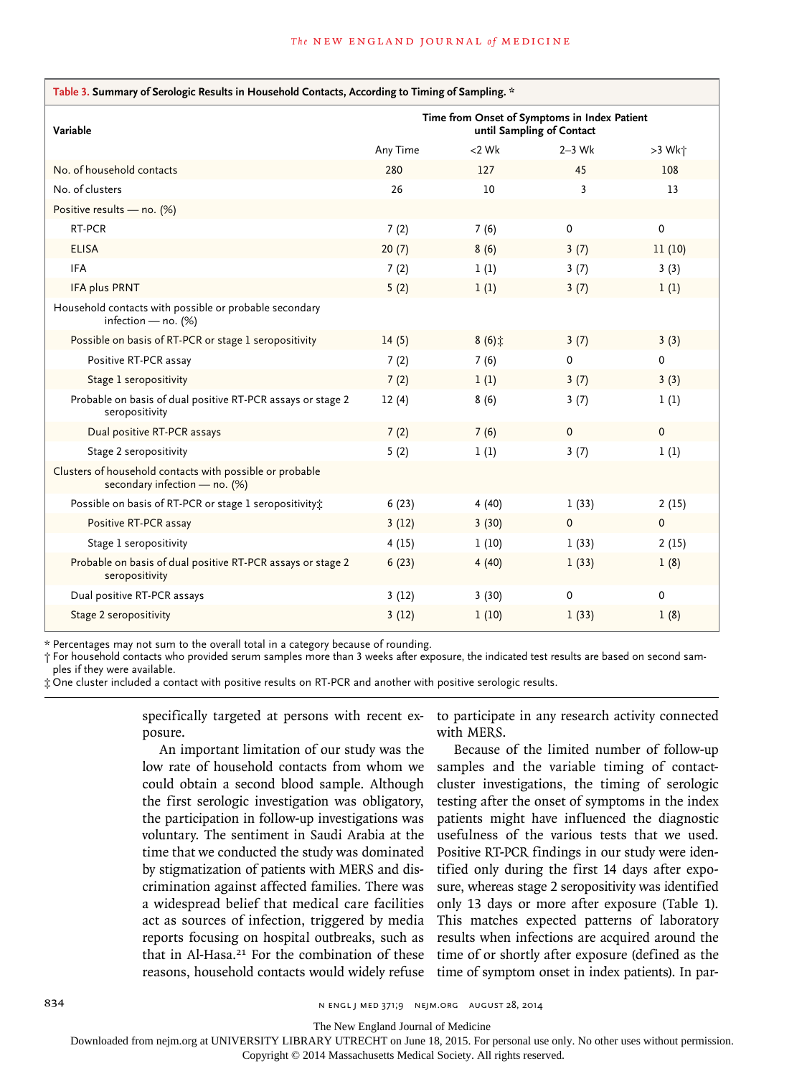| Table 3. Summary of Serologic Results in Household Contacts, According to Timing of Sampling. * |                                                                           |                   |             |             |  |  |  |  |
|-------------------------------------------------------------------------------------------------|---------------------------------------------------------------------------|-------------------|-------------|-------------|--|--|--|--|
| Variable                                                                                        | Time from Onset of Symptoms in Index Patient<br>until Sampling of Contact |                   |             |             |  |  |  |  |
|                                                                                                 | Any Time                                                                  | $<$ 2 Wk          | $2-3$ Wk    | >3 Wk+      |  |  |  |  |
| No. of household contacts                                                                       | 280                                                                       | 127               | 45          | 108         |  |  |  |  |
| No. of clusters                                                                                 | 26                                                                        | 10                | 3           | 13          |  |  |  |  |
| Positive results - no. (%)                                                                      |                                                                           |                   |             |             |  |  |  |  |
| RT-PCR                                                                                          | 7(2)                                                                      | 7(6)              | 0           | 0           |  |  |  |  |
| <b>ELISA</b>                                                                                    | 20(7)                                                                     | 8(6)              | 3(7)        | 11(10)      |  |  |  |  |
| <b>IFA</b>                                                                                      | 7(2)                                                                      | 1(1)              | 3(7)        | 3(3)        |  |  |  |  |
| <b>IFA plus PRNT</b>                                                                            | 5(2)                                                                      | 1(1)              | 3(7)        | 1(1)        |  |  |  |  |
| Household contacts with possible or probable secondary<br>infection - no. $(%)$                 |                                                                           |                   |             |             |  |  |  |  |
| Possible on basis of RT-PCR or stage 1 seropositivity                                           | 14(5)                                                                     | $8(6)$ $\ddot{ }$ | 3(7)        | 3(3)        |  |  |  |  |
| Positive RT-PCR assay                                                                           | 7(2)                                                                      | 7(6)              | 0           | 0           |  |  |  |  |
| Stage 1 seropositivity                                                                          | 7(2)                                                                      | 1(1)              | 3(7)        | 3(3)        |  |  |  |  |
| Probable on basis of dual positive RT-PCR assays or stage 2<br>seropositivity                   | 12(4)                                                                     | 8(6)              | 3(7)        | 1(1)        |  |  |  |  |
| Dual positive RT-PCR assays                                                                     | 7(2)                                                                      | 7(6)              | $\Omega$    | $\Omega$    |  |  |  |  |
| Stage 2 seropositivity                                                                          | 5(2)                                                                      | 1(1)              | 3(7)        | 1(1)        |  |  |  |  |
| Clusters of household contacts with possible or probable<br>secondary infection - no. (%)       |                                                                           |                   |             |             |  |  |  |  |
| Possible on basis of RT-PCR or stage 1 seropositivity;                                          | 6(23)                                                                     | 4(40)             | 1(33)       | 2(15)       |  |  |  |  |
| Positive RT-PCR assay                                                                           | 3(12)                                                                     | 3(30)             | $\mathbf 0$ | $\mathbf 0$ |  |  |  |  |
| Stage 1 seropositivity                                                                          | 4(15)                                                                     | 1(10)             | 1(33)       | 2(15)       |  |  |  |  |
| Probable on basis of dual positive RT-PCR assays or stage 2<br>seropositivity                   | 6(23)                                                                     | 4(40)             | 1(33)       | 1(8)        |  |  |  |  |
| Dual positive RT-PCR assays                                                                     | 3(12)                                                                     | 3(30)             | 0           | 0           |  |  |  |  |
| Stage 2 seropositivity                                                                          | 3(12)                                                                     | 1(10)             | 1(33)       | 1(8)        |  |  |  |  |

\* Percentages may not sum to the overall total in a category because of rounding.

† For household contacts who provided serum samples more than 3 weeks after exposure, the indicated test results are based on second samples if they were available.

‡ One cluster included a contact with positive results on RT-PCR and another with positive serologic results.

specifically targeted at persons with recent exposure.

An important limitation of our study was the low rate of household contacts from whom we could obtain a second blood sample. Although the first serologic investigation was obligatory, the participation in follow-up investigations was voluntary. The sentiment in Saudi Arabia at the time that we conducted the study was dominated by stigmatization of patients with MERS and discrimination against affected families. There was a widespread belief that medical care facilities act as sources of infection, triggered by media reports focusing on hospital outbreaks, such as that in Al-Hasa.<sup>21</sup> For the combination of these reasons, household contacts would widely refuse

to participate in any research activity connected with MERS.

Because of the limited number of follow-up samples and the variable timing of contactcluster investigations, the timing of serologic testing after the onset of symptoms in the index patients might have influenced the diagnostic usefulness of the various tests that we used. Positive RT-PCR findings in our study were identified only during the first 14 days after exposure, whereas stage 2 seropositivity was identified only 13 days or more after exposure (Table 1). This matches expected patterns of laboratory results when infections are acquired around the time of or shortly after exposure (defined as the time of symptom onset in index patients). In par-

834 **834** N ENGL J MED 371;9 NEJM.ORG AUGUST 28, 2014

The New England Journal of Medicine

Downloaded from nejm.org at UNIVERSITY LIBRARY UTRECHT on June 18, 2015. For personal use only. No other uses without permission.